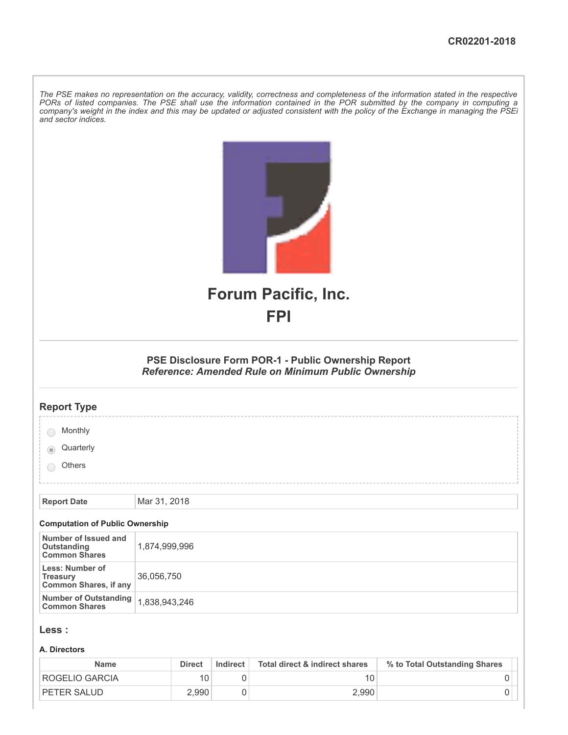The PSE makes no representation on the accuracy, validity, correctness and completeness of the information stated in the respective PORs of listed companies. The PSE shall use the information contained in the POR submitted by the company in computing a company's weight in the index and this may be updated or adjusted consistent with the policy of the Exchange in managing the PSEi *and sector indices.*

|                                                                    | <b>Forum Pacific, Inc.</b>                                                                                 |  |  |  |  |  |
|--------------------------------------------------------------------|------------------------------------------------------------------------------------------------------------|--|--|--|--|--|
|                                                                    | <b>FPI</b>                                                                                                 |  |  |  |  |  |
|                                                                    |                                                                                                            |  |  |  |  |  |
|                                                                    | PSE Disclosure Form POR-1 - Public Ownership Report<br>Reference: Amended Rule on Minimum Public Ownership |  |  |  |  |  |
| <b>Report Type</b>                                                 |                                                                                                            |  |  |  |  |  |
| Monthly                                                            |                                                                                                            |  |  |  |  |  |
| Quarterly                                                          |                                                                                                            |  |  |  |  |  |
| Others                                                             |                                                                                                            |  |  |  |  |  |
|                                                                    |                                                                                                            |  |  |  |  |  |
| <b>Report Date</b>                                                 | Mar 31, 2018                                                                                               |  |  |  |  |  |
| <b>Computation of Public Ownership</b>                             |                                                                                                            |  |  |  |  |  |
| Number of Issued and<br><b>Outstanding</b><br><b>Common Shares</b> | 1,874,999,996                                                                                              |  |  |  |  |  |
| Less: Number of<br><b>Treasury</b><br><b>Common Shares, if any</b> | 36,056,750                                                                                                 |  |  |  |  |  |
| <b>Number of Outstanding<br/>Common Shares</b>                     | 1,838,943,246                                                                                              |  |  |  |  |  |
| Less :                                                             |                                                                                                            |  |  |  |  |  |

#### **A. Directors**

| <b>Name</b>           | <b>Direct</b> | Indirect | Total direct & indirect shares | % to Total Outstanding Shares |
|-----------------------|---------------|----------|--------------------------------|-------------------------------|
| <b>ROGELIO GARCIA</b> |               |          |                                |                               |
| <b>PETER SALUD</b>    | 2.990         |          | 2.990                          |                               |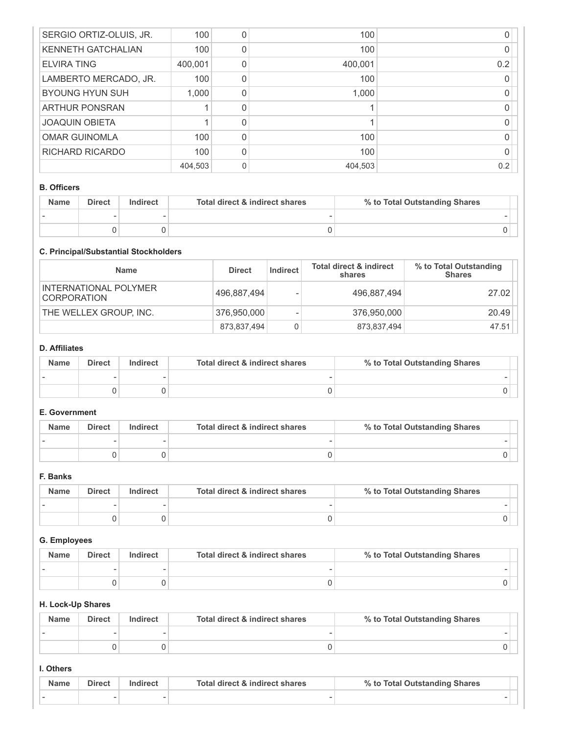| SERGIO ORTIZ-OLUIS, JR.   | 100     | $\mathcal{L}$ | 100     |     |
|---------------------------|---------|---------------|---------|-----|
| <b>KENNETH GATCHALIAN</b> | 100     |               | 100     |     |
| <b>ELVIRA TING</b>        | 400,001 |               | 400,001 | 0.2 |
| LAMBERTO MERCADO, JR.     | 100     |               | 100     |     |
| <b>BYOUNG HYUN SUH</b>    | 1.000   |               | 1,000   |     |
| <b>ARTHUR PONSRAN</b>     |         |               |         |     |
| <b>JOAQUIN OBIETA</b>     |         |               |         |     |
| <b>OMAR GUINOMLA</b>      | 100     | U             | 100     |     |
| RICHARD RICARDO           | 100     | U             | 100     |     |
|                           | 404,503 | 0             | 404,503 | 0.2 |

#### **B. Officers**

| <b>Name</b> | <b>Direct</b> | Indirect | Total direct & indirect shares | % to Total Outstanding Shares |
|-------------|---------------|----------|--------------------------------|-------------------------------|
|             |               |          |                                |                               |
|             |               |          |                                |                               |

## **C. Principal/Substantial Stockholders**

| <b>Name</b>                                 | <b>Direct</b> | Indirect | <b>Total direct &amp; indirect</b><br>shares | % to Total Outstanding<br><b>Shares</b> |
|---------------------------------------------|---------------|----------|----------------------------------------------|-----------------------------------------|
| INTERNATIONAL POLYMER<br><b>CORPORATION</b> | 496,887,494   |          | 496,887,494                                  | 27.02                                   |
| THE WELLEX GROUP, INC.                      | 376,950,000   |          | 376,950,000                                  | 20.49                                   |
|                                             | 873,837,494   | 0        | 873,837,494                                  | 47.51                                   |

## **D. Affiliates**

| <b>Name</b> | <b>Direct</b> | Indirect | Total direct & indirect shares | % to Total Outstanding Shares |
|-------------|---------------|----------|--------------------------------|-------------------------------|
|             |               |          |                                |                               |
|             |               |          |                                |                               |

# **E. Government**

| <b>Name</b> | <b>Direct</b> | Indirect | Total direct & indirect shares | % to Total Outstanding Shares |
|-------------|---------------|----------|--------------------------------|-------------------------------|
|             |               |          |                                |                               |
|             |               |          |                                |                               |

# **F. Banks**

| <b>Name</b> | <b>Direct</b> | Indirect | Total direct & indirect shares | % to Total Outstanding Shares |
|-------------|---------------|----------|--------------------------------|-------------------------------|
|             |               |          |                                |                               |
|             |               |          |                                |                               |

# **G. Employees**

| <b>Name</b> | <b>Direct</b> | Indirect | Total direct & indirect shares | % to Total Outstanding Shares |
|-------------|---------------|----------|--------------------------------|-------------------------------|
|             |               |          |                                |                               |
|             |               |          |                                |                               |

# **H. Lock-Up Shares**

| <b>Name</b> | <b>Direct</b> | Indirect | Total direct & indirect shares | % to Total Outstanding Shares |
|-------------|---------------|----------|--------------------------------|-------------------------------|
|             |               |          |                                |                               |
|             |               |          |                                |                               |

### **I. Others**

| <b>Name</b> | <b>Direct</b> | Indirect | Total direct & indirect shares | % to Total Outstanding Shares |
|-------------|---------------|----------|--------------------------------|-------------------------------|
|             |               |          |                                |                               |